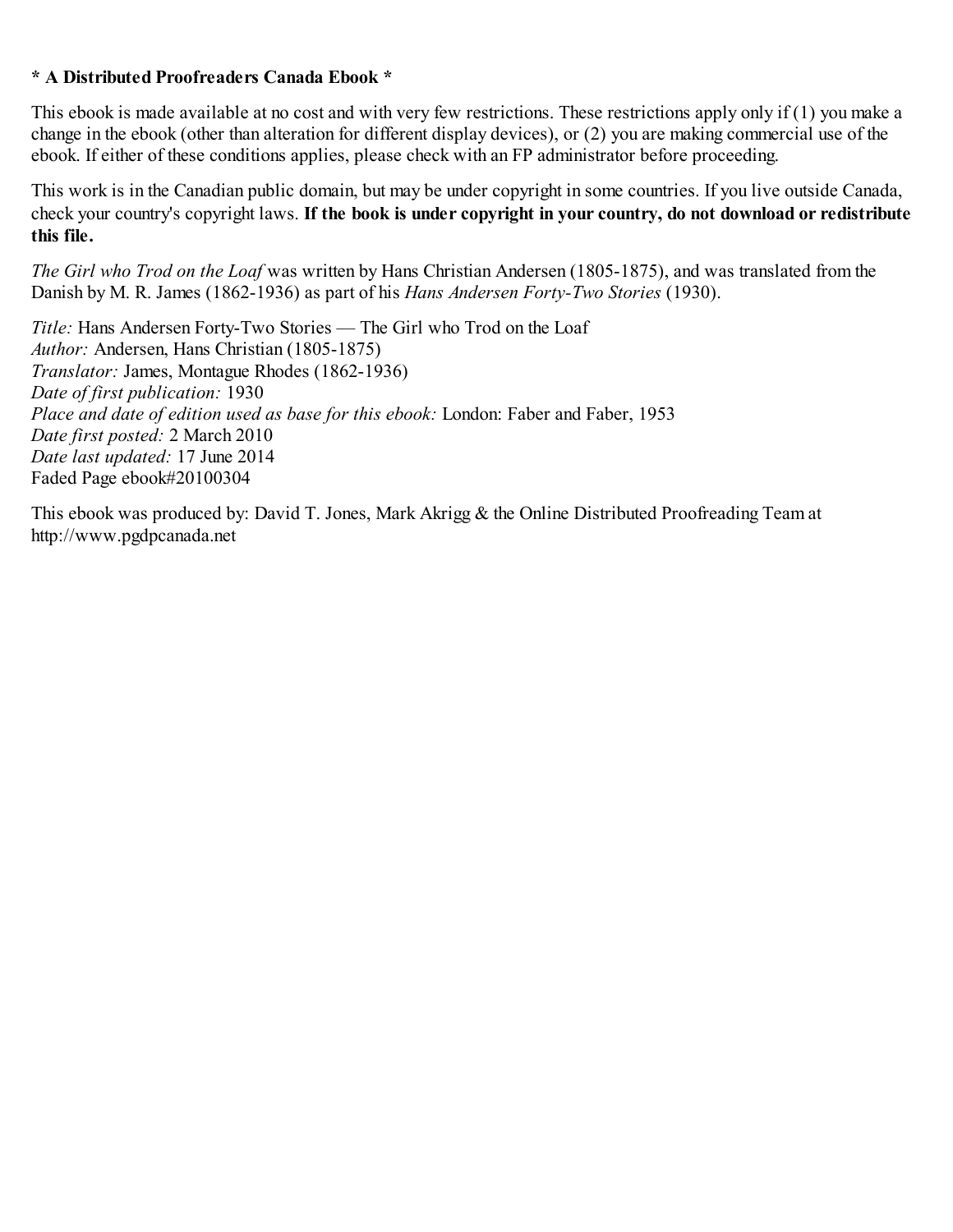## **\* A Distributed Proofreaders Canada Ebook \***

This ebook is made available at no cost and with very few restrictions. These restrictions apply only if (1) you make a change in the ebook (other than alteration for different display devices), or (2) you are making commercial use of the ebook. If either of these conditions applies, please check with an FP administrator before proceeding.

This work is in the Canadian public domain, but may be under copyright in some countries. If you live outside Canada, check your country's copyright laws. **If the book is under copyright in your country, do not download or redistribute this file.**

*The Girl who Trod on the Loaf* was written by Hans Christian Andersen (1805-1875), and was translated from the Danish by M. R. James (1862-1936) as part of his *Hans Andersen Forty-Two Stories* (1930).

*Title:* Hans Andersen Forty-Two Stories — The Girl who Trod on the Loaf *Author:* Andersen, Hans Christian (1805-1875) *Translator:* James, Montague Rhodes (1862-1936) *Date of first publication:* 1930 *Place and date of edition used as base for this ebook:* London: Faber and Faber, 1953 *Date first posted:* 2 March 2010 *Date last updated:* 17 June 2014 Faded Page ebook#20100304

This ebook was produced by: David T. Jones, Mark Akrigg & the Online Distributed Proofreading Team at http://www.pgdpcanada.net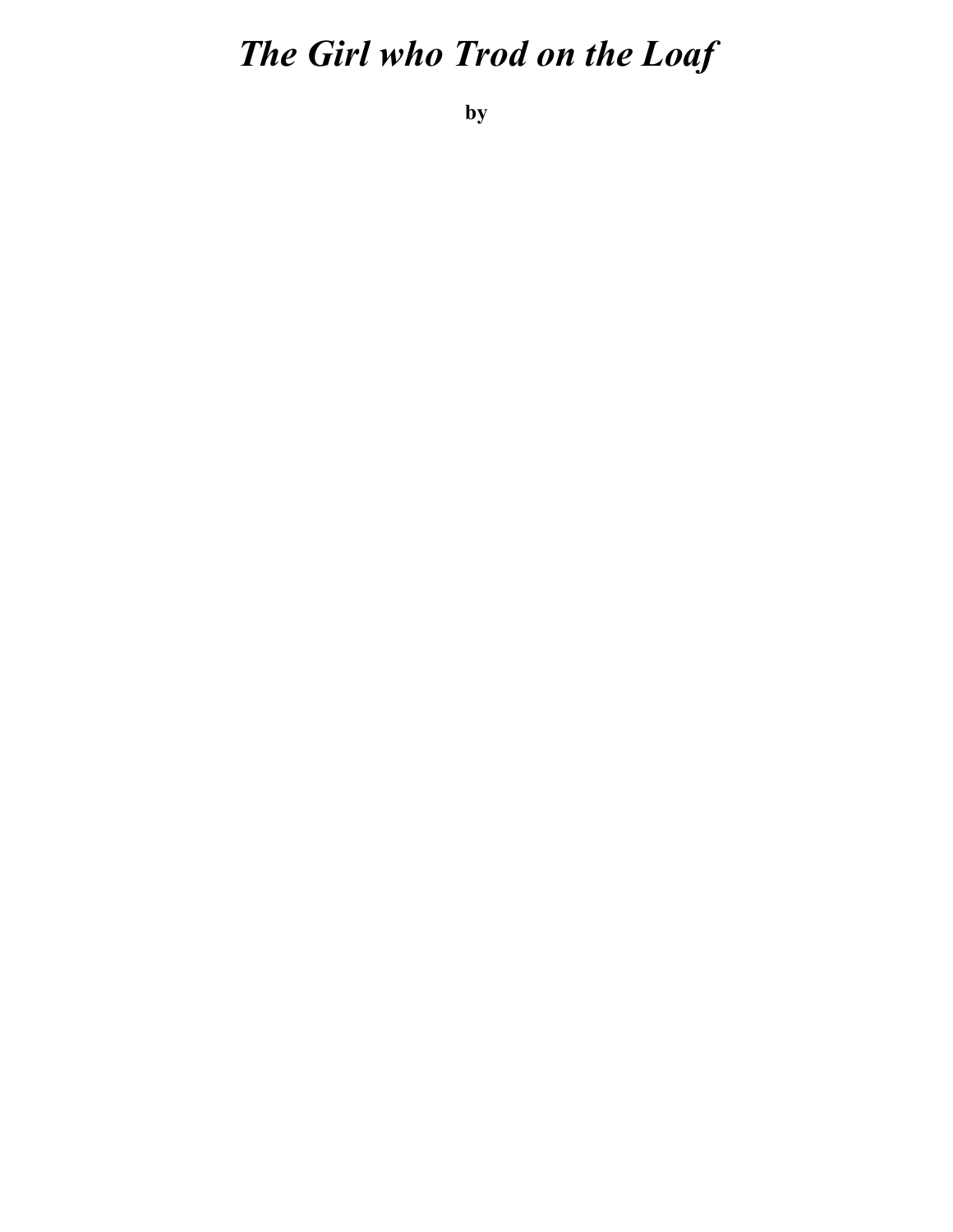## *The Girl who Trod on the Loaf*

**by**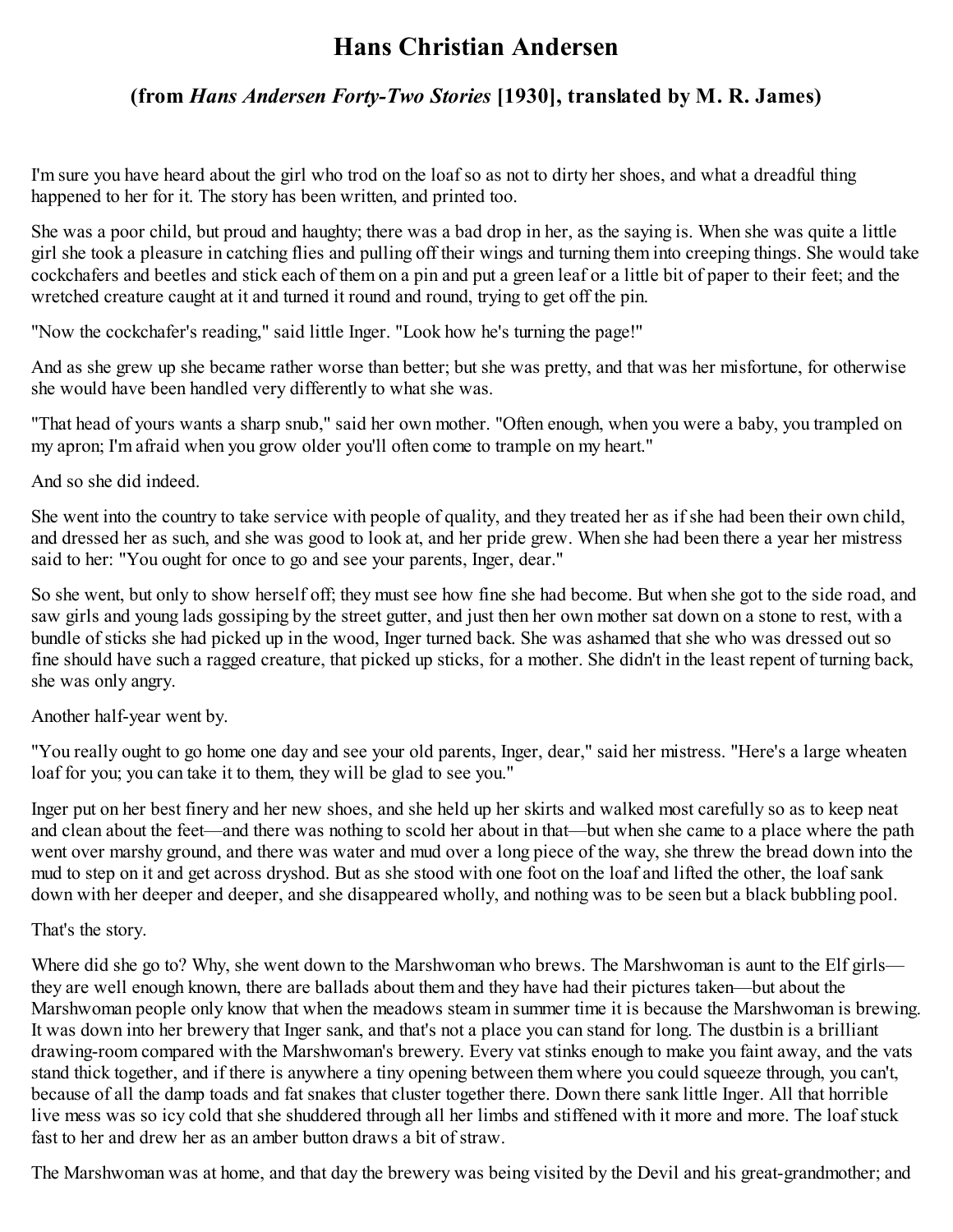## **Hans Christian Andersen**

## **(from** *Hans Andersen Forty-Two Stories* **[1930], translated by M. R. James)**

I'm sure you have heard about the girl who trod on the loaf so as not to dirty her shoes, and what a dreadful thing happened to her for it. The story has been written, and printed too.

She was a poor child, but proud and haughty; there was a bad drop in her, as the saying is. When she was quite a little girl she took a pleasure in catching flies and pulling off their wings and turning them into creeping things. She would take cockchafers and beetles and stick each of them on a pin and put a green leaf or a little bit of paper to their feet; and the wretched creature caught at it and turned it round and round, trying to get off the pin.

"Now the cockchafer's reading," said little Inger. "Look how he's turning the page!"

And as she grew up she became rather worse than better; but she was pretty, and that was her misfortune, for otherwise she would have been handled very differently to what she was.

"That head of yours wants a sharp snub," said her own mother. "Often enough, when you were a baby, you trampled on my apron; I'm afraid when you grow older you'll often come to trample on my heart."

And so she did indeed.

She went into the country to take service with people of quality, and they treated her as if she had been their own child, and dressed her as such, and she was good to look at, and her pride grew. When she had been there a year her mistress said to her: "You ought for once to go and see your parents, Inger, dear."

So she went, but only to show herself off; they must see how fine she had become. But when she got to the side road, and saw girls and young lads gossiping by the street gutter, and just then her own mother sat down on a stone to rest, with a bundle of sticks she had picked up in the wood, Inger turned back. She was ashamed that she who was dressed out so fine should have such a ragged creature, that picked up sticks, for a mother. She didn't in the least repent of turning back, she was only angry.

Another half-year went by.

"You really ought to go home one day and see your old parents, Inger, dear," said her mistress. "Here's a large wheaten loaf for you; you can take it to them, they will be glad to see you."

Inger put on her best finery and her new shoes, and she held up her skirts and walked most carefully so as to keep neat and clean about the feet—and there was nothing to scold her about in that—but when she came to a place where the path went over marshy ground, and there was water and mud over a long piece of the way, she threw the bread down into the mud to step on it and get across dryshod. But as she stood with one foot on the loaf and lifted the other, the loaf sank down with her deeper and deeper, and she disappeared wholly, and nothing was to be seen but a black bubbling pool.

That's the story.

Where did she go to? Why, she went down to the Marshwoman who brews. The Marshwoman is aunt to the Elf girls they are well enough known, there are ballads about them and they have had their pictures taken—but about the Marshwoman people only know that when the meadows steam in summer time it is because the Marshwoman is brewing. It was down into her brewery that Inger sank, and that's not a place you can stand for long. The dustbin is a brilliant drawing-room compared with the Marshwoman's brewery. Every vat stinks enough to make you faint away, and the vats stand thick together, and if there is anywhere a tiny opening between them where you could squeeze through, you can't, because of all the damp toads and fat snakes that cluster together there. Down there sank little Inger. All that horrible live mess was so icy cold that she shuddered through all her limbs and stiffened with it more and more. The loaf stuck fast to her and drew her as an amber button draws a bit of straw.

The Marshwoman was at home, and that day the brewery was being visited by the Devil and his great-grandmother; and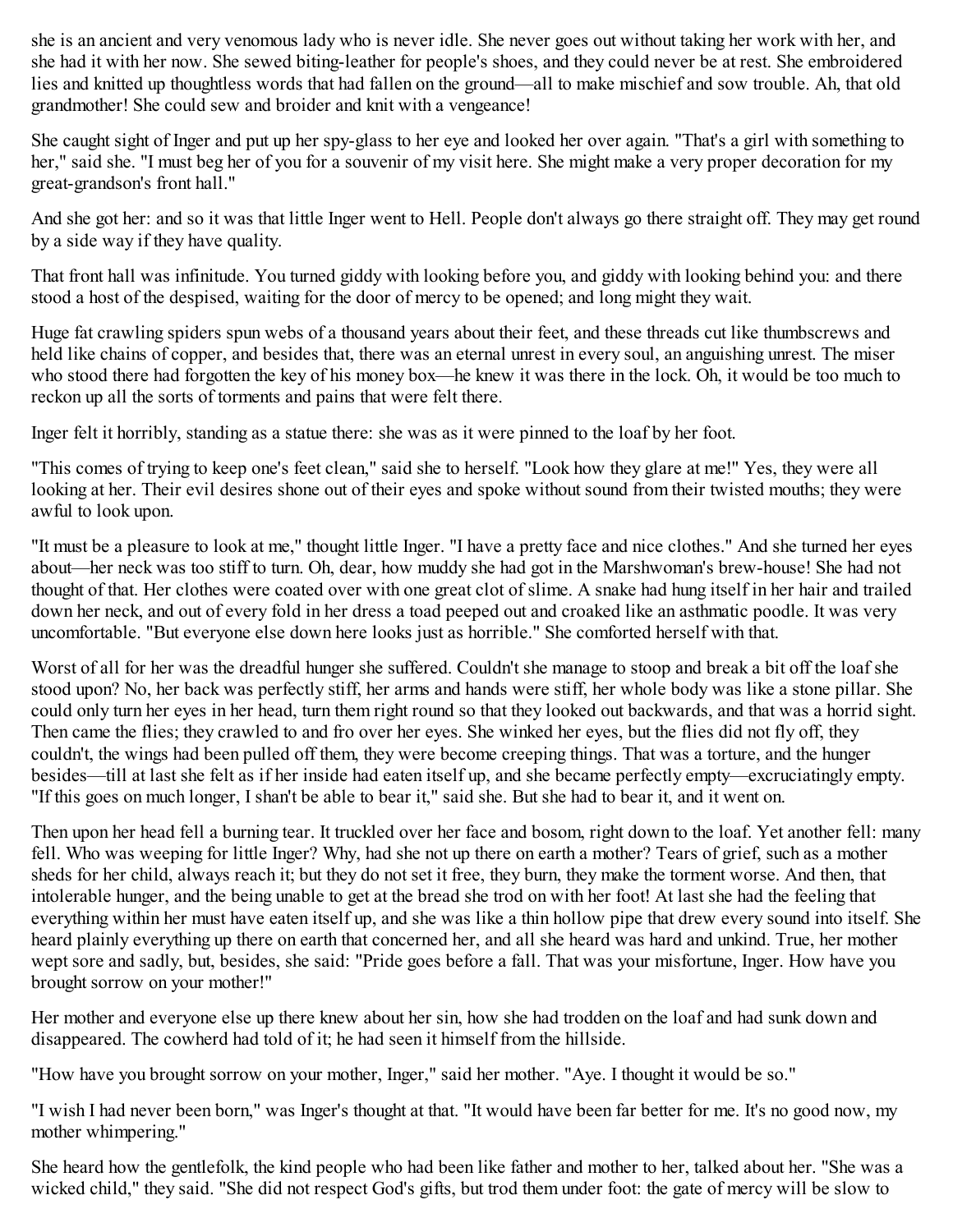she is an ancient and very venomous lady who is never idle. She never goes out without taking her work with her, and she had it with her now. She sewed biting-leather for people's shoes, and they could never be at rest. She embroidered lies and knitted up thoughtless words that had fallen on the ground—all to make mischief and sow trouble. Ah, that old grandmother! She could sew and broider and knit with a vengeance!

She caught sight of Inger and put up her spy-glass to her eye and looked her over again. "That's a girl with something to her," said she. "I must beg her of you for a souvenir of my visit here. She might make a very proper decoration for my great-grandson's front hall."

And she got her: and so it was that little Inger went to Hell. People don't always go there straight off. They may get round by a side way if they have quality.

That front hall was infinitude. You turned giddy with looking before you, and giddy with looking behind you: and there stood a host of the despised, waiting for the door of mercy to be opened; and long might they wait.

Huge fat crawling spiders spun webs of a thousand years about their feet, and these threads cut like thumbscrews and held like chains of copper, and besides that, there was an eternal unrest in every soul, an anguishing unrest. The miser who stood there had forgotten the key of his money box—he knew it was there in the lock. Oh, it would be too much to reckon up all the sorts of torments and pains that were felt there.

Inger felt it horribly, standing as a statue there: she was as it were pinned to the loaf by her foot.

"This comes of trying to keep one's feet clean," said she to herself. "Look how they glare at me!" Yes, they were all looking at her. Their evil desires shone out of their eyes and spoke without sound from their twisted mouths; they were awful to look upon.

"It must be a pleasure to look at me," thought little Inger. "I have a pretty face and nice clothes." And she turned her eyes about—her neck was too stiff to turn. Oh, dear, how muddy she had got in the Marshwoman's brew-house! She had not thought of that. Her clothes were coated over with one great clot of slime. A snake had hung itself in her hair and trailed down her neck, and out of every fold in her dress a toad peeped out and croaked like an asthmatic poodle. It was very uncomfortable. "But everyone else down here looks just as horrible." She comforted herself with that.

Worst of all for her was the dreadful hunger she suffered. Couldn't she manage to stoop and break a bit off the loaf she stood upon? No, her back was perfectly stiff, her arms and hands were stiff, her whole body was like a stone pillar. She could only turn her eyes in her head, turn them right round so that they looked out backwards, and that was a horrid sight. Then came the flies; they crawled to and fro over her eyes. She winked her eyes, but the flies did not fly off, they couldn't, the wings had been pulled off them, they were become creeping things. That was a torture, and the hunger besides—till at last she felt as if her inside had eaten itself up, and she became perfectly empty—excruciatingly empty. "If this goes on much longer, I shan't be able to bear it," said she. But she had to bear it, and it went on.

Then upon her head fell a burning tear. It truckled over her face and bosom, right down to the loaf. Yet another fell: many fell. Who was weeping for little Inger? Why, had she not up there on earth a mother? Tears of grief, such as a mother sheds for her child, always reach it; but they do not set it free, they burn, they make the torment worse. And then, that intolerable hunger, and the being unable to get at the bread she trod on with her foot! At last she had the feeling that everything within her must have eaten itself up, and she was like a thin hollow pipe that drew every sound into itself. She heard plainly everything up there on earth that concerned her, and all she heard was hard and unkind. True, her mother wept sore and sadly, but, besides, she said: "Pride goes before a fall. That was your misfortune, Inger. How have you brought sorrow on your mother!"

Her mother and everyone else up there knew about her sin, how she had trodden on the loaf and had sunk down and disappeared. The cowherd had told of it; he had seen it himself from the hillside.

"How have you brought sorrow on your mother, Inger," said her mother. "Aye. I thought it would be so."

"I wish I had never been born," was Inger's thought at that. "It would have been far better for me. It's no good now, my mother whimpering."

She heard how the gentlefolk, the kind people who had been like father and mother to her, talked about her. "She was a wicked child," they said. "She did not respect God's gifts, but trod them under foot: the gate of mercy will be slow to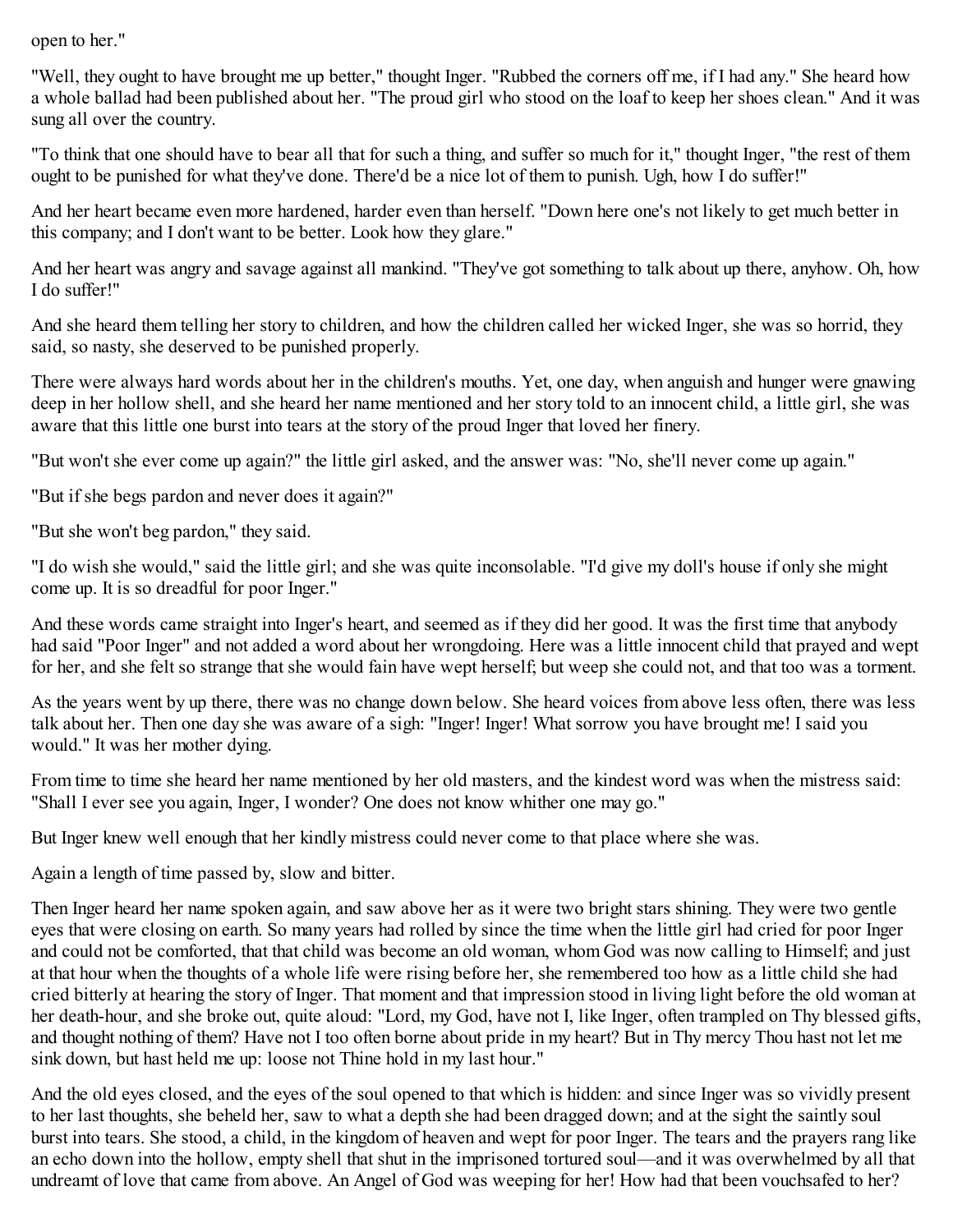open to her."

"Well, they ought to have brought me up better," thought Inger. "Rubbed the corners off me, if I had any." She heard how a whole ballad had been published about her. "The proud girl who stood on the loaf to keep her shoes clean." And it was sung all over the country.

"To think that one should have to bear all that for such a thing, and suffer so much for it," thought Inger, "the rest of them ought to be punished for what they've done. There'd be a nice lot of them to punish. Ugh, how I do suffer!"

And her heart became even more hardened, harder even than herself. "Down here one's not likely to get much better in this company; and I don't want to be better. Look how they glare."

And her heart was angry and savage against all mankind. "They've got something to talk about up there, anyhow. Oh, how I do suffer!"

And she heard them telling her story to children, and how the children called her wicked Inger, she was so horrid, they said, so nasty, she deserved to be punished properly.

There were always hard words about her in the children's mouths. Yet, one day, when anguish and hunger were gnawing deep in her hollow shell, and she heard her name mentioned and her story told to an innocent child, a little girl, she was aware that this little one burst into tears at the story of the proud Inger that loved her finery.

"But won't she ever come up again?" the little girl asked, and the answer was: "No, she'll never come up again."

"But if she begs pardon and never does it again?"

"But she won't beg pardon," they said.

"I do wish she would," said the little girl; and she was quite inconsolable. "I'd give my doll's house if only she might come up. It is so dreadful for poor Inger."

And these words came straight into Inger's heart, and seemed as if they did her good. It was the first time that anybody had said "Poor Inger" and not added a word about her wrongdoing. Here was a little innocent child that prayed and wept for her, and she felt so strange that she would fain have wept herself; but weep she could not, and that too was a torment.

As the years went by up there, there was no change down below. She heard voices from above less often, there was less talk about her. Then one day she was aware of a sigh: "Inger! Inger! What sorrow you have brought me! I said you would." It was her mother dying.

From time to time she heard her name mentioned by her old masters, and the kindest word was when the mistress said: "Shall I ever see you again, Inger, I wonder? One does not know whither one may go."

But Inger knew well enough that her kindly mistress could never come to that place where she was.

Again a length of time passed by, slow and bitter.

Then Inger heard her name spoken again, and saw above her as it were two bright stars shining. They were two gentle eyes that were closing on earth. So many years had rolled by since the time when the little girl had cried for poor Inger and could not be comforted, that that child was become an old woman, whom God was now calling to Himself; and just at that hour when the thoughts of a whole life were rising before her, she remembered too how as a little child she had cried bitterly at hearing the story of Inger. That moment and that impression stood in living light before the old woman at her death-hour, and she broke out, quite aloud: "Lord, my God, have not I, like Inger, often trampled on Thy blessed gifts, and thought nothing of them? Have not I too often borne about pride in my heart? But in Thy mercy Thou hast not let me sink down, but hast held me up: loose not Thine hold in my last hour."

And the old eyes closed, and the eyes of the soul opened to that which is hidden: and since Inger was so vividly present to her last thoughts, she beheld her, saw to what a depth she had been dragged down; and at the sight the saintly soul burst into tears. She stood, a child, in the kingdom of heaven and wept for poor Inger. The tears and the prayers rang like an echo down into the hollow, empty shell that shut in the imprisoned tortured soul—and it was overwhelmed by all that undreamt of love that came from above. An Angel of God was weeping for her! How had that been vouchsafed to her?